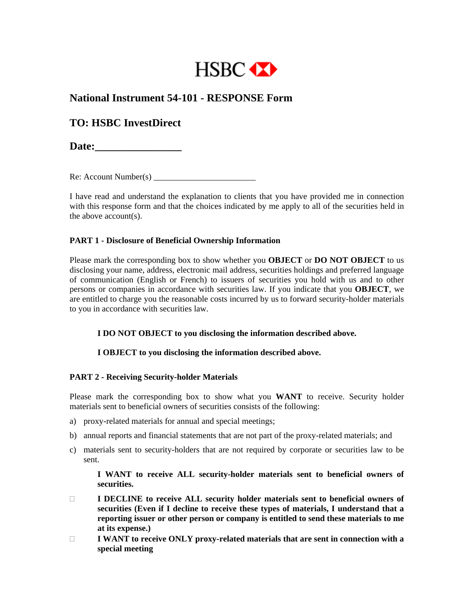

## **National Instrument 54-101 - RESPONSE Form**

# **TO: HSBC InvestDirect**

Date:

 $Re:$  Account Number(s)

I have read and understand the explanation to clients that you have provided me in connection with this response form and that the choices indicated by me apply to all of the securities held in the above account(s).

## **PART 1 - Disclosure of Beneficial Ownership Information**

Please mark the corresponding box to show whether you **OBJECT** or **DO NOT OBJECT** to us disclosing your name, address, electronic mail address, securities holdings and preferred language of communication (English or French) to issuers of securities you hold with us and to other persons or companies in accordance with securities law. If you indicate that you **OBJECT**, we are entitled to charge you the reasonable costs incurred by us to forward security-holder materials to you in accordance with securities law.

 **I DO NOT OBJECT to you disclosing the information described above.** 

## **I OBJECT to you disclosing the information described above.**

## **PART 2 - Receiving Security-holder Materials**

Please mark the corresponding box to show what you **WANT** to receive. Security holder materials sent to beneficial owners of securities consists of the following:

- a) proxy-related materials for annual and special meetings;
- b) annual reports and financial statements that are not part of the proxy-related materials; and
- c) materials sent to security-holders that are not required by corporate or securities law to be sent.

 **I WANT to receive ALL security-holder materials sent to beneficial owners of securities.**

- **I DECLINE to receive ALL security holder materials sent to beneficial owners of securities (Even if I decline to receive these types of materials, I understand that a reporting issuer or other person or company is entitled to send these materials to me at its expense.)**
- **I WANT to receive ONLY proxy-related materials that are sent in connection with a special meeting**